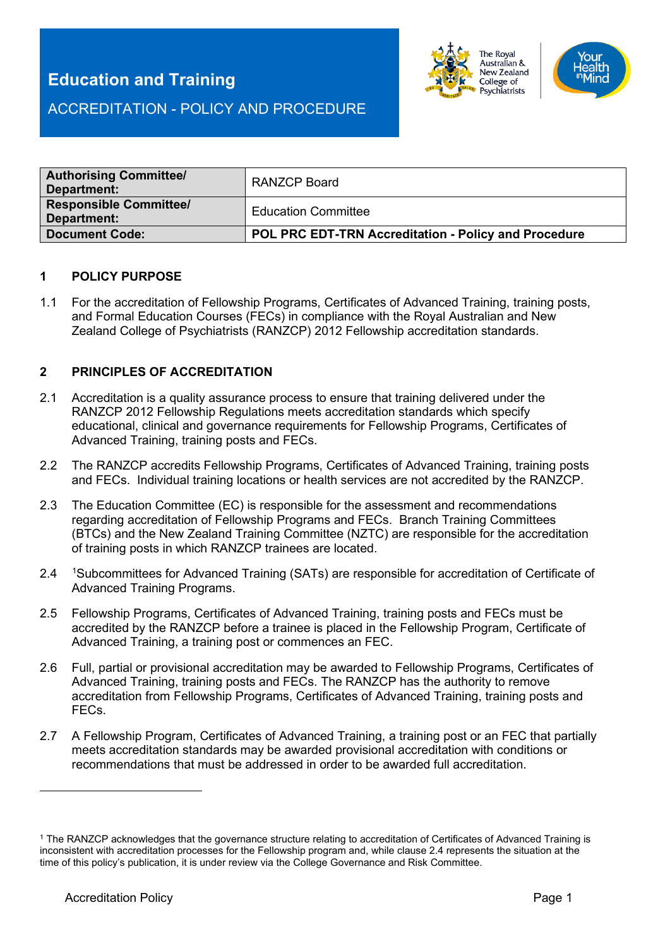

ACCREDITATION - POLICY AND PROCEDURE

| <b>Authorising Committee/</b><br>Department: | <b>RANZCP Board</b>                                  |
|----------------------------------------------|------------------------------------------------------|
| <b>Responsible Committee/</b><br>Department: | <b>Education Committee</b>                           |
| <b>Document Code:</b>                        | POL PRC EDT-TRN Accreditation - Policy and Procedure |

#### **1 POLICY PURPOSE**

1.1 For the accreditation of Fellowship Programs, Certificates of Advanced Training, training posts, and Formal Education Courses (FECs) in compliance with the Royal Australian and New Zealand College of Psychiatrists (RANZCP) 2012 Fellowship accreditation standards.

## **2 PRINCIPLES OF ACCREDITATION**

- 2.1 Accreditation is a quality assurance process to ensure that training delivered under the RANZCP 2012 Fellowship Regulations meets accreditation standards which specify educational, clinical and governance requirements for Fellowship Programs, Certificates of Advanced Training, training posts and FECs.
- 2.2 The RANZCP accredits Fellowship Programs, Certificates of Advanced Training, training posts and FECs. Individual training locations or health services are not accredited by the RANZCP.
- 2.3 The Education Committee (EC) is responsible for the assessment and recommendations regarding accreditation of Fellowship Programs and FECs. Branch Training Committees (BTCs) and the New Zealand Training Committee (NZTC) are responsible for the accreditation of training posts in which RANZCP trainees are located.
- 2.4 <sup>[1](#page-0-0)</sup>Subcommittees for Advanced Training (SATs) are responsible for accreditation of Certificate of Advanced Training Programs.
- 2.5 Fellowship Programs, Certificates of Advanced Training, training posts and FECs must be accredited by the RANZCP before a trainee is placed in the Fellowship Program, Certificate of Advanced Training, a training post or commences an FEC.
- 2.6 Full, partial or provisional accreditation may be awarded to Fellowship Programs, Certificates of Advanced Training, training posts and FECs. The RANZCP has the authority to remove accreditation from Fellowship Programs, Certificates of Advanced Training, training posts and FECs.
- 2.7 A Fellowship Program, Certificates of Advanced Training, a training post or an FEC that partially meets accreditation standards may be awarded provisional accreditation with conditions or recommendations that must be addressed in order to be awarded full accreditation.

<span id="page-0-0"></span><sup>1</sup> The RANZCP acknowledges that the governance structure relating to accreditation of Certificates of Advanced Training is inconsistent with accreditation processes for the Fellowship program and, while clause 2.4 represents the situation at the time of this policy's publication, it is under review via the College Governance and Risk Committee.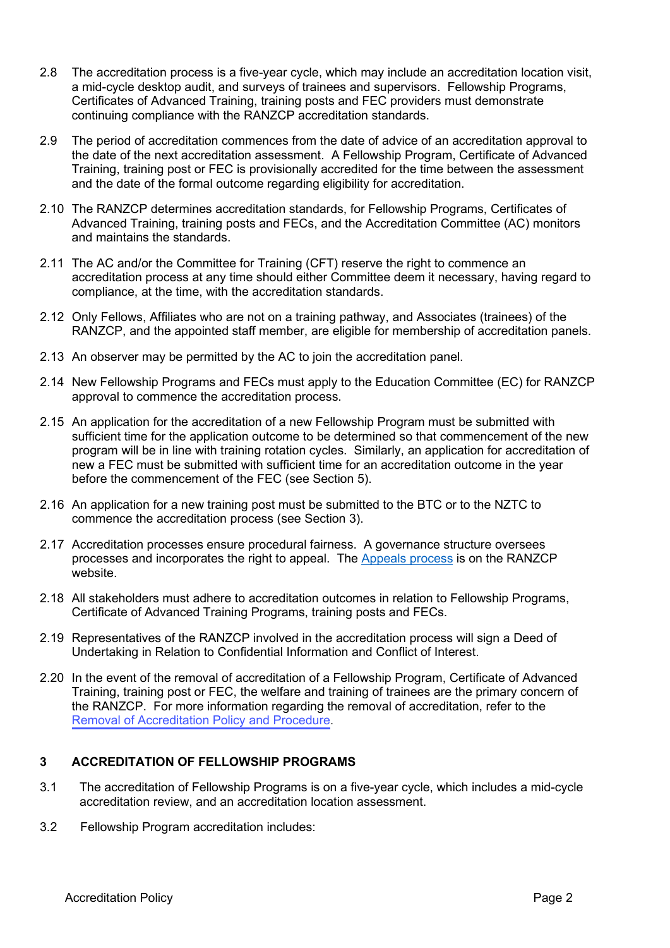- 2.8 The accreditation process is a five-year cycle, which may include an accreditation location visit, a mid-cycle desktop audit, and surveys of trainees and supervisors. Fellowship Programs, Certificates of Advanced Training, training posts and FEC providers must demonstrate continuing compliance with the RANZCP accreditation standards.
- 2.9 The period of accreditation commences from the date of advice of an accreditation approval to the date of the next accreditation assessment. A Fellowship Program, Certificate of Advanced Training, training post or FEC is provisionally accredited for the time between the assessment and the date of the formal outcome regarding eligibility for accreditation.
- 2.10 The RANZCP determines accreditation standards, for Fellowship Programs, Certificates of Advanced Training, training posts and FECs, and the Accreditation Committee (AC) monitors and maintains the standards.
- 2.11 The AC and/or the Committee for Training (CFT) reserve the right to commence an accreditation process at any time should either Committee deem it necessary, having regard to compliance, at the time, with the accreditation standards.
- 2.12 Only Fellows, Affiliates who are not on a training pathway, and Associates (trainees) of the RANZCP, and the appointed staff member, are eligible for membership of accreditation panels.
- 2.13 An observer may be permitted by the AC to join the accreditation panel.
- 2.14 New Fellowship Programs and FECs must apply to the Education Committee (EC) for RANZCP approval to commence the accreditation process.
- 2.15 An application for the accreditation of a new Fellowship Program must be submitted with sufficient time for the application outcome to be determined so that commencement of the new program will be in line with training rotation cycles. Similarly, an application for accreditation of new a FEC must be submitted with sufficient time for an accreditation outcome in the year before the commencement of the FEC (see Section 5).
- 2.16 An application for a new training post must be submitted to the BTC or to the NZTC to commence the accreditation process (see Section 3).
- 2.17 Accreditation processes ensure procedural fairness. A governance structure oversees processes and incorporates the right to appeal. The [Appeals process](https://www.ranzcp.org/about-us/governance/governance-documents) is on the RANZCP website.
- 2.18 All stakeholders must adhere to accreditation outcomes in relation to Fellowship Programs, Certificate of Advanced Training Programs, training posts and FECs.
- 2.19 Representatives of the RANZCP involved in the accreditation process will sign a Deed of Undertaking in Relation to Confidential Information and Conflict of Interest.
- 2.20 In the event of the removal of accreditation of a Fellowship Program, Certificate of Advanced Training, training post or FEC, the welfare and training of trainees are the primary concern of the RANZCP. For more information regarding the removal of accreditation, refer to the Removal of Accreditation Policy [and Procedure](https://www.ranzcp.org/files/about_us/accreditation/removal-of-accreditation-policy.aspx)[.](https://www.ranzcp.org/pre-fellowship/training-program-accreditation)

#### **3 ACCREDITATION OF FELLOWSHIP PROGRAMS**

- 3.1 The accreditation of Fellowship Programs is on a five-year cycle, which includes a mid-cycle accreditation review, and an accreditation location assessment.
- 3.2 Fellowship Program accreditation includes: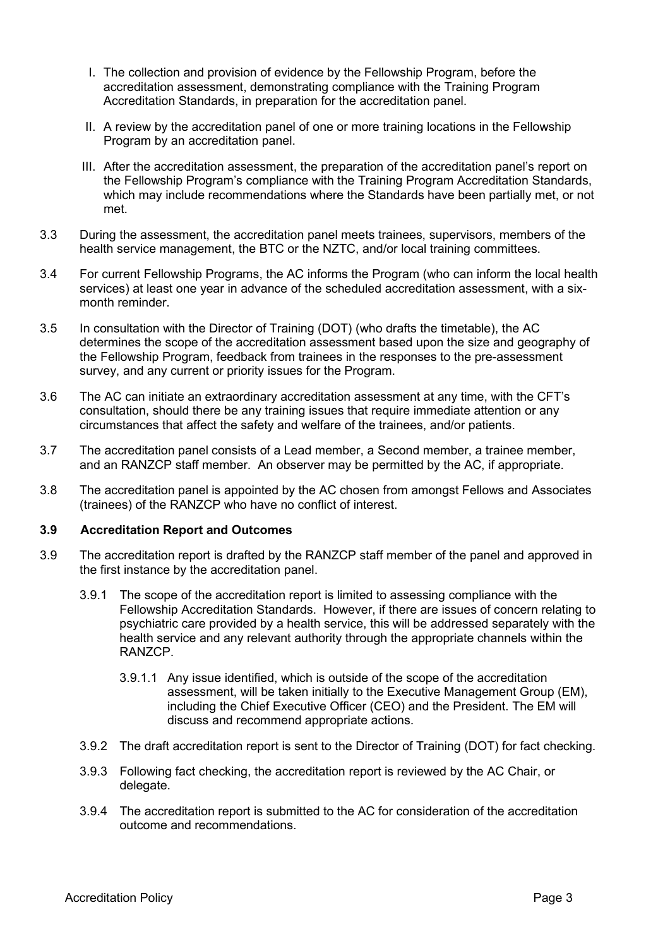- I. The collection and provision of evidence by the Fellowship Program, before the accreditation assessment, demonstrating compliance with the Training Program Accreditation Standards, in preparation for the accreditation panel.
- II. A review by the accreditation panel of one or more training locations in the Fellowship Program by an accreditation panel.
- III. After the accreditation assessment, the preparation of the accreditation panel's report on the Fellowship Program's compliance with the Training Program Accreditation Standards, which may include recommendations where the Standards have been partially met, or not met.
- 3.3 During the assessment, the accreditation panel meets trainees, supervisors, members of the health service management, the BTC or the NZTC, and/or local training committees.
- 3.4 For current Fellowship Programs, the AC informs the Program (who can inform the local health services) at least one year in advance of the scheduled accreditation assessment, with a sixmonth reminder.
- 3.5 In consultation with the Director of Training (DOT) (who drafts the timetable), the AC determines the scope of the accreditation assessment based upon the size and geography of the Fellowship Program, feedback from trainees in the responses to the pre-assessment survey, and any current or priority issues for the Program.
- 3.6 The AC can initiate an extraordinary accreditation assessment at any time, with the CFT's consultation, should there be any training issues that require immediate attention or any circumstances that affect the safety and welfare of the trainees, and/or patients.
- 3.7 The accreditation panel consists of a Lead member, a Second member, a trainee member, and an RANZCP staff member. An observer may be permitted by the AC, if appropriate.
- 3.8 The accreditation panel is appointed by the AC chosen from amongst Fellows and Associates (trainees) of the RANZCP who have no conflict of interest.

## **3.9 Accreditation Report and Outcomes**

- 3.9 The accreditation report is drafted by the RANZCP staff member of the panel and approved in the first instance by the accreditation panel.
	- 3.9.1 The scope of the accreditation report is limited to assessing compliance with the Fellowship Accreditation Standards. However, if there are issues of concern relating to psychiatric care provided by a health service, this will be addressed separately with the health service and any relevant authority through the appropriate channels within the RANZCP.
		- 3.9.1.1 Any issue identified, which is outside of the scope of the accreditation assessment, will be taken initially to the Executive Management Group (EM), including the Chief Executive Officer (CEO) and the President. The EM will discuss and recommend appropriate actions.
	- 3.9.2 The draft accreditation report is sent to the Director of Training (DOT) for fact checking.
	- 3.9.3 Following fact checking, the accreditation report is reviewed by the AC Chair, or delegate.
	- 3.9.4 The accreditation report is submitted to the AC for consideration of the accreditation outcome and recommendations.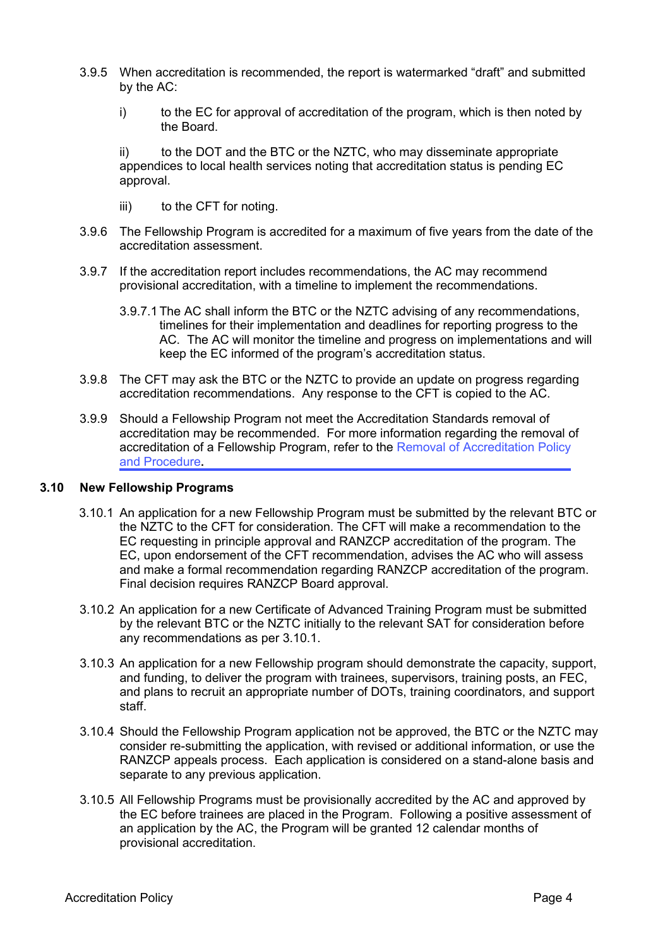- 3.9.5 When accreditation is recommended, the report is watermarked "draft" and submitted by the AC:
	- i) to the EC for approval of accreditation of the program, which is then noted by the Board.

ii) to the DOT and the BTC or the NZTC, who may disseminate appropriate appendices to local health services noting that accreditation status is pending EC approval.

- iii) to the CFT for noting.
- 3.9.6 The Fellowship Program is accredited for a maximum of five years from the date of the accreditation assessment.
- 3.9.7 If the accreditation report includes recommendations, the AC may recommend provisional accreditation, with a timeline to implement the recommendations.
	- 3.9.7.1The AC shall inform the BTC or the NZTC advising of any recommendations, timelines for their implementation and deadlines for reporting progress to the AC. The AC will monitor the timeline and progress on implementations and will keep the EC informed of the program's accreditation status.
- 3.9.8 The CFT may ask the BTC or the NZTC to provide an update on progress regarding accreditation recommendations. Any response to the CFT is copied to the AC.
- 3.9.9 Should a Fellowship Program not meet the Accreditation Standards removal of accreditation may be recommended. For more information regarding the removal of accreditation of a Fellowship Program, refer to [the Removal of Accreditation Policy](https://www.ranzcp.org/files/about_us/accreditation/removal-of-accreditation-policy.aspx)  and Procedure**[.](https://www.ranzcp.org/pre-fellowship/training-program-accreditation)**

#### **3.10 New Fellowship Programs**

- 3.10.1 An application for a new Fellowship Program must be submitted by the relevant BTC or the NZTC to the CFT for consideration. The CFT will make a recommendation to the EC requesting in principle approval and RANZCP accreditation of the program. The EC, upon endorsement of the CFT recommendation, advises the AC who will assess and make a formal recommendation regarding RANZCP accreditation of the program. Final decision requires RANZCP Board approval.
- 3.10.2 An application for a new Certificate of Advanced Training Program must be submitted by the relevant BTC or the NZTC initially to the relevant SAT for consideration before any recommendations as per 3.10.1.
- 3.10.3 An application for a new Fellowship program should demonstrate the capacity, support, and funding, to deliver the program with trainees, supervisors, training posts, an FEC, and plans to recruit an appropriate number of DOTs, training coordinators, and support staff.
- 3.10.4 Should the Fellowship Program application not be approved, the BTC or the NZTC may consider re-submitting the application, with revised or additional information, or use the RANZCP appeals process. Each application is considered on a stand-alone basis and separate to any previous application.
- 3.10.5 All Fellowship Programs must be provisionally accredited by the AC and approved by the EC before trainees are placed in the Program. Following a positive assessment of an application by the AC, the Program will be granted 12 calendar months of provisional accreditation.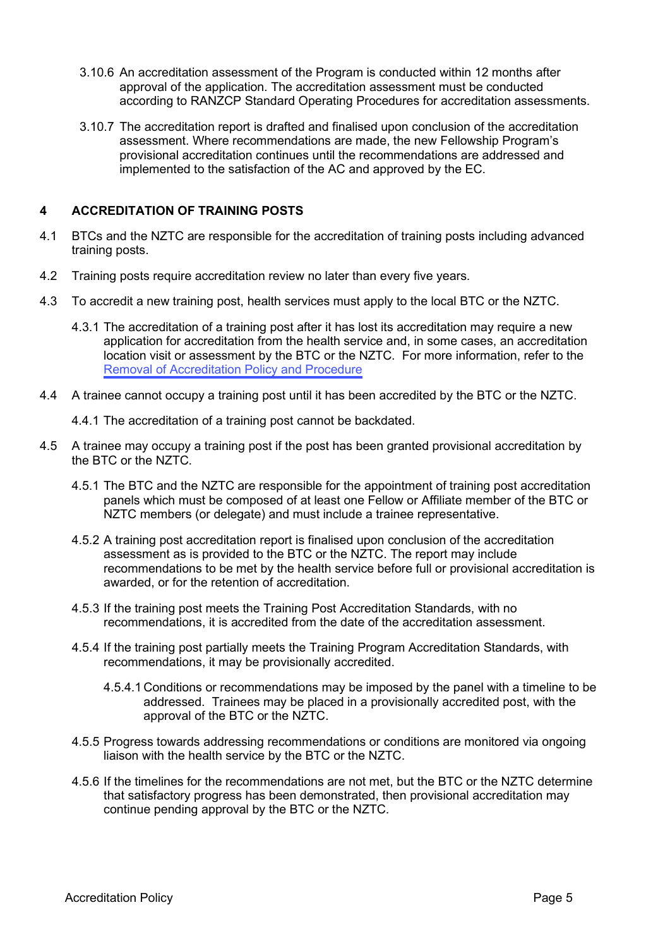- 3.10.6 An accreditation assessment of the Program is conducted within 12 months after approval of the application. The accreditation assessment must be conducted according to RANZCP Standard Operating Procedures for accreditation assessments.
- 3.10.7 The accreditation report is drafted and finalised upon conclusion of the accreditation assessment. Where recommendations are made, the new Fellowship Program's provisional accreditation continues until the recommendations are addressed and implemented to the satisfaction of the AC and approved by the EC.

## **4 ACCREDITATION OF TRAINING POSTS**

- 4.1 BTCs and the NZTC are responsible for the accreditation of training posts including advanced training posts.
- 4.2 Training posts require accreditation review no later than every five years.
- 4.3 To accredit a new training post, health services must apply to the local BTC or the NZTC.
	- 4.3.1 The accreditation of a training post after it has lost its accreditation may require a new application for accreditation from the health service and, in some cases, an accreditation location visit or assessment by the BTC or the NZTC. For more information, refer to the [Removal of Accreditation](https://www.ranzcp.org/files/about_us/accreditation/removal-of-accreditation-policy.aspx) Policy and Procedure
- 4.4 A trainee cannot occupy a training post until it has been accredited by the BTC or the NZTC.
	- 4.4.1 The accreditation of a training post cannot be backdated.
- 4.5 A trainee may occupy a training post if the post has been granted provisional accreditation by the BTC or the NZTC.
	- 4.5.1 The BTC and the NZTC are responsible for the appointment of training post accreditation panels which must be composed of at least one Fellow or Affiliate member of the BTC or NZTC members (or delegate) and must include a trainee representative.
	- 4.5.2 A training post accreditation report is finalised upon conclusion of the accreditation assessment as is provided to the BTC or the NZTC. The report may include recommendations to be met by the health service before full or provisional accreditation is awarded, or for the retention of accreditation.
	- 4.5.3 If the training post meets the Training Post Accreditation Standards, with no recommendations, it is accredited from the date of the accreditation assessment.
	- 4.5.4 If the training post partially meets the Training Program Accreditation Standards, with recommendations, it may be provisionally accredited.
		- 4.5.4.1 Conditions or recommendations may be imposed by the panel with a timeline to be addressed. Trainees may be placed in a provisionally accredited post, with the approval of the BTC or the NZTC.
	- 4.5.5 Progress towards addressing recommendations or conditions are monitored via ongoing liaison with the health service by the BTC or the NZTC.
	- 4.5.6 If the timelines for the recommendations are not met, but the BTC or the NZTC determine that satisfactory progress has been demonstrated, then provisional accreditation may continue pending approval by the BTC or the NZTC.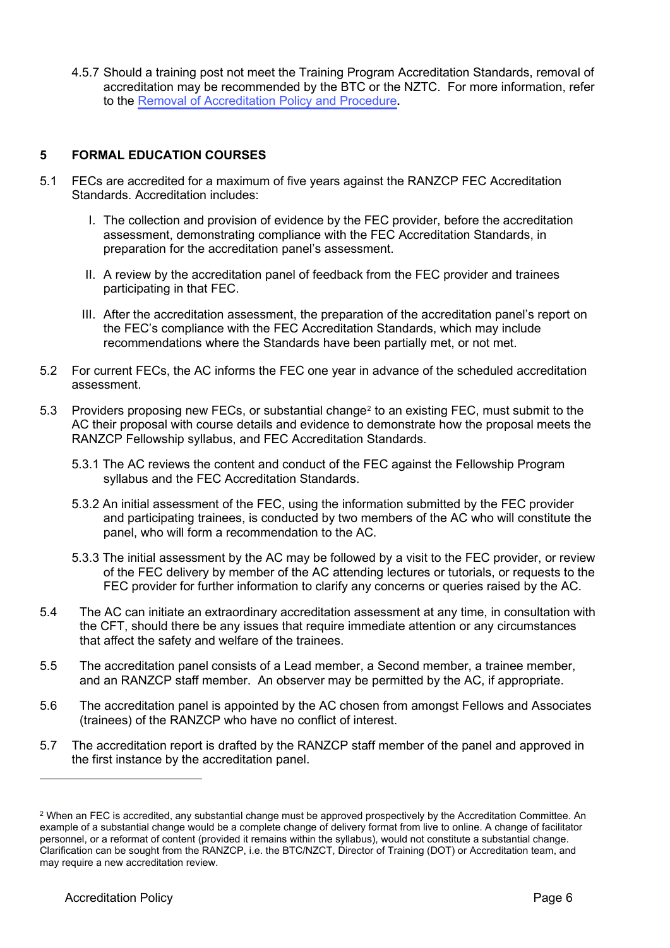4.5.7 Should a training post not meet the Training Program Accreditation Standards, removal of accreditation may be recommended by the BTC or the NZTC. For [more information, refer](https://www.ranzcp.org/pre-fellowship/training-program-accreditation)  to the [Removal of Accreditation Policy](https://www.ranzcp.org/files/about_us/accreditation/removal-of-accreditation-policy.aspx) and Procedure**.**

## **5 FORMAL EDUCATION COURSES**

- 5.1 FECs are accredited for a maximum of five years against the RANZCP FEC Accreditation Standards. Accreditation includes:
	- I. The collection and provision of evidence by the FEC provider, before the accreditation assessment, demonstrating compliance with the FEC Accreditation Standards, in preparation for the accreditation panel's assessment.
	- II. A review by the accreditation panel of feedback from the FEC provider and trainees participating in that FEC.
	- III. After the accreditation assessment, the preparation of the accreditation panel's report on the FEC's compliance with the FEC Accreditation Standards, which may include recommendations where the Standards have been partially met, or not met.
- 5.2 For current FECs, the AC informs the FEC one year in advance of the scheduled accreditation assessment.
- 5.3 Providers proposing new FECs, or substantial change[2](#page-5-0) to an existing FEC, must submit to the AC their proposal with course details and evidence to demonstrate how the proposal meets the RANZCP Fellowship syllabus, and FEC Accreditation Standards.
	- 5.3.1 The AC reviews the content and conduct of the FEC against the Fellowship Program syllabus and the [FEC Accreditation Standards.](https://ranzcp.org/Files/Resources/Assessor-Supervisor/ACCREDITATION-OF-TRAINING-PROGRAMS-V2.aspx)
	- 5.3.2 An initial assessment of the FEC, using the information submitted by the FEC provider and participating trainees, is conducted by two members of the AC who will constitute the panel, who will form a recommendation to the AC.
	- 5.3.3 The initial assessment by the AC may be followed by a visit to the FEC provider, or review of the FEC delivery by member of the AC attending lectures or tutorials, or requests to the FEC provider for further information to clarify any concerns or queries raised by the AC.
- 5.4 The AC can initiate an extraordinary accreditation assessment at any time, in consultation with the CFT, should there be any issues that require immediate attention or any circumstances that affect the safety and welfare of the trainees.
- 5.5 The accreditation panel consists of a Lead member, a Second member, a trainee member, and an RANZCP staff member. An observer may be permitted by the AC, if appropriate.
- 5.6 The accreditation panel is appointed by the AC chosen from amongst Fellows and Associates (trainees) of the RANZCP who have no conflict of interest.
- 5.7 The accreditation report is drafted by the RANZCP staff member of the panel and approved in the first instance by the accreditation panel.

<span id="page-5-0"></span><sup>2</sup> When an FEC is accredited, any substantial change must be approved prospectively by the Accreditation Committee. An example of a substantial change would be a complete change of delivery format from live to online. A change of facilitator personnel, or a reformat of content (provided it remains within the syllabus), would not constitute a substantial change. Clarification can be sought from the RANZCP, i.e. the BTC/NZCT, Director of Training (DOT) or Accreditation team, and may require a new accreditation review.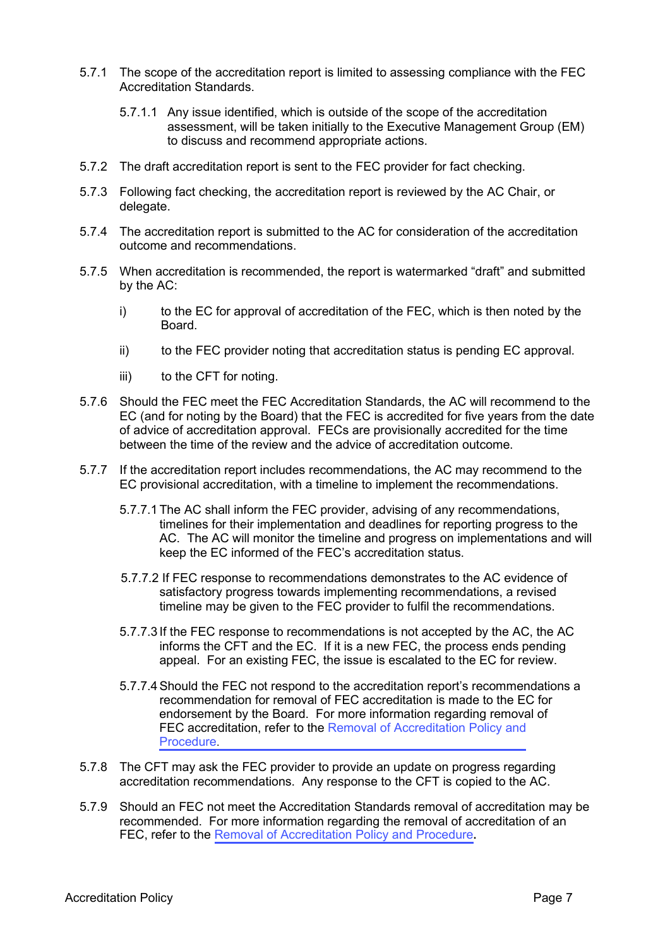- 5.7.1 The scope of the accreditation report is limited to assessing compliance with the FEC Accreditation Standards.
	- 5.7.1.1 Any issue identified, which is outside of the scope of the accreditation assessment, will be taken initially to the Executive Management Group (EM) to discuss and recommend appropriate actions.
- 5.7.2 The draft accreditation report is sent to the FEC provider for fact checking.
- 5.7.3 Following fact checking, the accreditation report is reviewed by the AC Chair, or delegate.
- 5.7.4 The accreditation report is submitted to the AC for consideration of the accreditation outcome and recommendations.
- 5.7.5 When accreditation is recommended, the report is watermarked "draft" and submitted by the AC:
	- i) to the EC for approval of accreditation of the FEC, which is then noted by the Board.
	- ii) to the FEC provider noting that accreditation status is pending EC approval.
	- iii) to the CFT for noting.
- 5.7.6 Should the FEC meet the FEC Accreditation Standards, the AC will recommend to the EC (and for noting by the Board) that the FEC is accredited for five years from the date of advice of accreditation approval. FECs are provisionally accredited for the time between the time of the review and the advice of accreditation outcome.
- 5.7.7 If the accreditation report includes recommendations, the AC may recommend to the EC provisional accreditation, with a timeline to implement the recommendations.
	- 5.7.7.1 The AC shall inform the FEC provider, advising of any recommendations, timelines for their implementation and deadlines for reporting progress to the AC. The AC will monitor the timeline and progress on implementations and will keep the EC informed of the FEC's accreditation status.
	- 5.7.7.2 If FEC response to recommendations demonstrates to the AC evidence of satisfactory progress towards implementing recommendations, a revised timeline may be given to the FEC provider to fulfil the recommendations.
	- 5.7.7.3 If the FEC response to recommendations is not accepted by the AC, the AC informs the CFT and the EC. If it is a new FEC, the process ends pending appeal. For an existing FEC, the issue is escalated to the EC for review.
	- 5.7.7.4Should the FEC not respond to the accreditation report's recommendations a recommendation for removal of FEC accreditation is made to the EC for endorsement by the Board. For more information regarding removal of FEC accreditation, refer to the [Removal of Accreditation Policy](https://www.ranzcp.org/files/about_us/accreditation/removal-of-accreditation-policy.aspx) and [Procedure](https://www.ranzcp.org/pre-fellowship/training-program-accreditation).
- 5.7.8 The CFT may ask the FEC provider to provide an update on progress regarding accreditation recommendations. Any response to the CFT is copied to the AC.
- 5.7.9 Should an FEC not meet the Accreditation Standards removal of accreditation may be recommended. For more information regarding the removal of accreditation of an FEC, refer [to the](https://www.ranzcp.org/pre-fellowship/training-program-accreditation) [Removal of Accreditation Policy](https://www.ranzcp.org/files/about_us/accreditation/removal-of-accreditation-policy.aspx) and Proc[edure](https://www.ranzcp.org/pre-fellowship/training-program-accreditation)**.**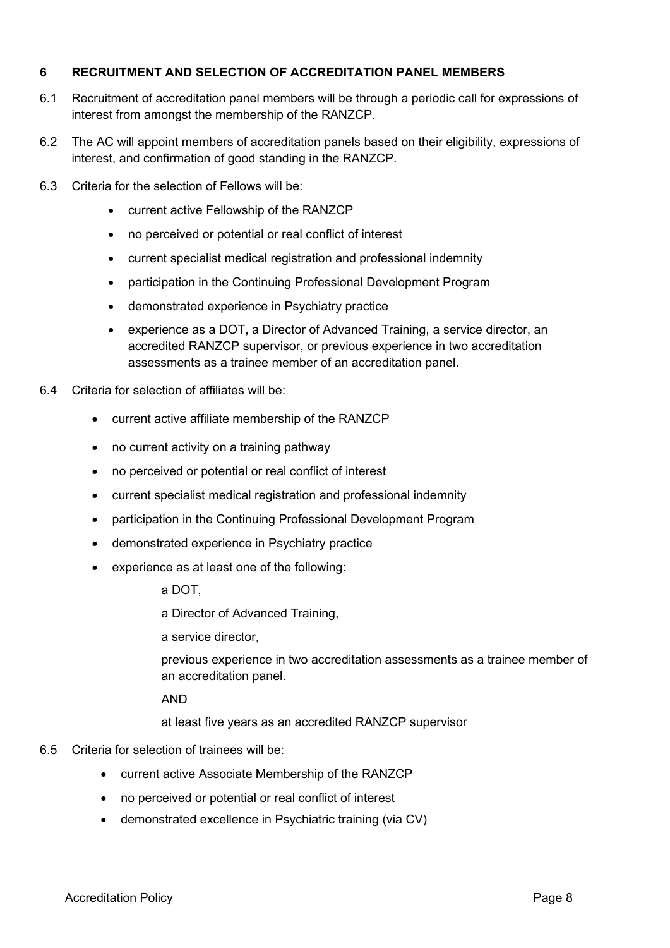## **6 RECRUITMENT AND SELECTION OF ACCREDITATION PANEL MEMBERS**

- 6.1 Recruitment of accreditation panel members will be through a periodic call for expressions of interest from amongst the membership of the RANZCP.
- 6.2 The AC will appoint members of accreditation panels based on their eligibility, expressions of interest, and confirmation of good standing in the RANZCP.
- 6.3 Criteria for the selection of Fellows will be:
	- **•** current active Fellowship of the RANZCP
	- **•** no perceived or potential or real conflict of interest
	- **•** current specialist medical registration and professional indemnity
	- **•** participation in the Continuing Professional Development Program
	- **•** demonstrated experience in Psychiatry practice
	- **•** experience as a DOT, a Director of Advanced Training, a service director, an accredited RANZCP supervisor, or previous experience in two accreditation assessments as a trainee member of an accreditation panel.
- 6.4 Criteria for selection of affiliates will be:
	- **•** current active affiliate membership of the RANZCP
	- **•** no current activity on a training pathway
	- **•** no perceived or potential or real conflict of interest
	- **•** current specialist medical registration and professional indemnity
	- **•** participation in the Continuing Professional Development Program
	- **•** demonstrated experience in Psychiatry practice
	- **•** experience as at least one of the following:

a DOT,

a Director of Advanced Training,

a service director,

previous experience in two accreditation assessments as a trainee member of an accreditation panel.

AND

at least five years as an accredited RANZCP supervisor

## 6.5 Criteria for selection of trainees will be:

- **•** current active Associate Membership of the RANZCP
- **•** no perceived or potential or real conflict of interest
- **•** demonstrated excellence in Psychiatric training (via CV)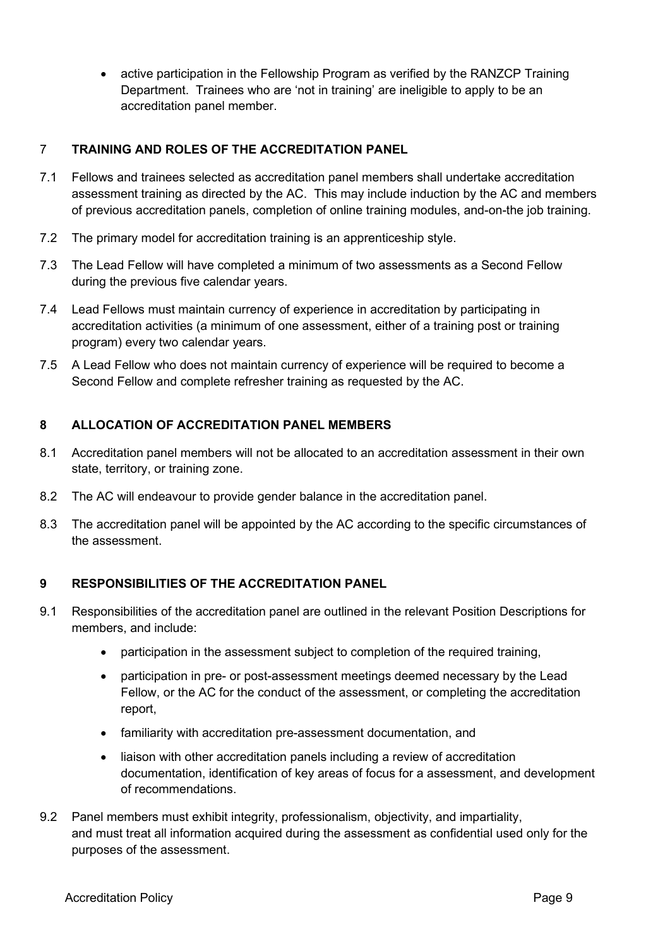**•** active participation in the Fellowship Program as verified by the RANZCP Training Department. Trainees who are 'not in training' are ineligible to apply to be an accreditation panel member.

# 7 **TRAINING AND ROLES OF THE ACCREDITATION PANEL**

- 7.1 Fellows and trainees selected as accreditation panel members shall undertake accreditation assessment training as directed by the AC. This may include induction by the AC and members of previous accreditation panels, completion of online training modules, and-on-the job training.
- 7.2 The primary model for accreditation training is an apprenticeship style.
- 7.3 The Lead Fellow will have completed a minimum of two assessments as a Second Fellow during the previous five calendar years.
- 7.4 Lead Fellows must maintain currency of experience in accreditation by participating in accreditation activities (a minimum of one assessment, either of a training post or training program) every two calendar years.
- 7.5 A Lead Fellow who does not maintain currency of experience will be required to become a Second Fellow and complete refresher training as requested by the AC.

# **8 ALLOCATION OF ACCREDITATION PANEL MEMBERS**

- 8.1 Accreditation panel members will not be allocated to an accreditation assessment in their own state, territory, or training zone.
- 8.2 The AC will endeavour to provide gender balance in the accreditation panel.
- 8.3 The accreditation panel will be appointed by the AC according to the specific circumstances of the assessment.

# **9 RESPONSIBILITIES OF THE ACCREDITATION PANEL**

- 9.1 Responsibilities of the accreditation panel are outlined in the relevant Position Descriptions for members, and include:
	- **•** participation in the assessment subject to completion of the required training,
	- **•** participation in pre- or post-assessment meetings deemed necessary by the Lead Fellow, or the AC for the conduct of the assessment, or completing the accreditation report,
	- **•** familiarity with accreditation pre-assessment documentation, and
	- **•** liaison with other accreditation panels including a review of accreditation documentation, identification of key areas of focus for a assessment, and development of recommendations.
- 9.2 Panel members must exhibit integrity, professionalism, objectivity, and impartiality, and must treat all information acquired during the assessment as confidential used only for the purposes of the assessment.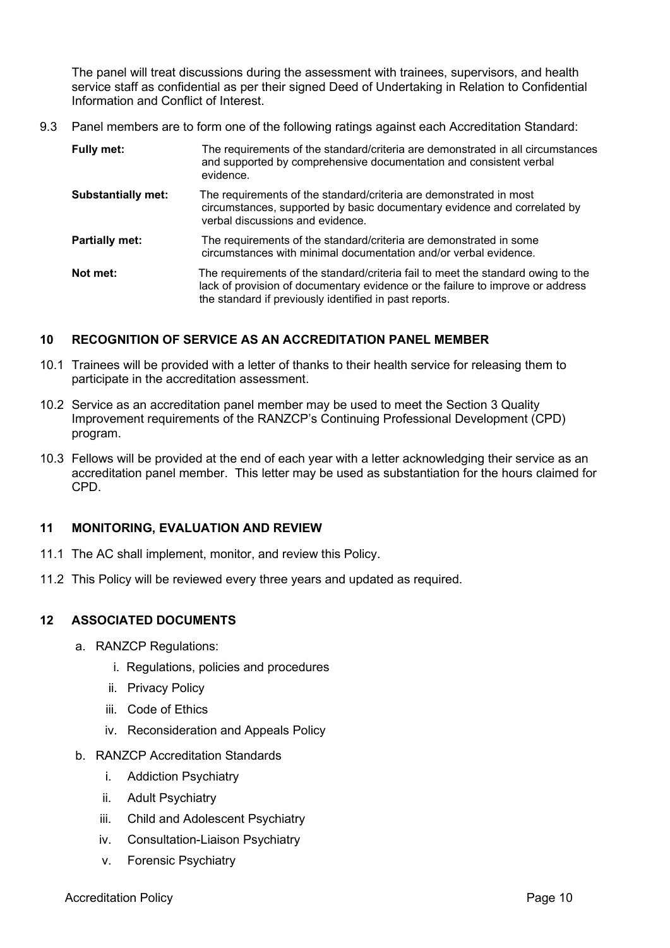The panel will treat discussions during the assessment with trainees, supervisors, and health service staff as confidential as per their signed Deed of Undertaking in Relation to Confidential Information and Conflict of Interest.

9.3 Panel members are to form one of the following ratings against each Accreditation Standard:

| Fully met:                | The requirements of the standard/criteria are demonstrated in all circumstances<br>and supported by comprehensive documentation and consistent verbal<br>evidence.                                                           |  |
|---------------------------|------------------------------------------------------------------------------------------------------------------------------------------------------------------------------------------------------------------------------|--|
| <b>Substantially met:</b> | The requirements of the standard/criteria are demonstrated in most<br>circumstances, supported by basic documentary evidence and correlated by<br>verbal discussions and evidence.                                           |  |
| <b>Partially met:</b>     | The requirements of the standard/criteria are demonstrated in some<br>circumstances with minimal documentation and/or verbal evidence.                                                                                       |  |
| Not met:                  | The requirements of the standard/criteria fail to meet the standard owing to the<br>lack of provision of documentary evidence or the failure to improve or address<br>the standard if previously identified in past reports. |  |

## **10 RECOGNITION OF SERVICE AS AN ACCREDITATION PANEL MEMBER**

- 10.1 Trainees will be provided with a letter of thanks to their health service for releasing them to participate in the accreditation assessment.
- 10.2 Service as an accreditation panel member may be used to meet the Section 3 Quality Improvement requirements of the RANZCP's Continuing Professional Development (CPD) program.
- 10.3 Fellows will be provided at the end of each year with a letter acknowledging their service as an accreditation panel member. This letter may be used as substantiation for the hours claimed for CPD.

# **11 MONITORING, EVALUATION AND REVIEW**

- 11.1 The AC shall implement, monitor, and review this Policy.
- 11.2 This Policy will be reviewed every three years and updated as required.

## **12 ASSOCIATED DOCUMENTS**

- a. RANZCP Regulations:
	- i. Regulations, policies and procedures
	- ii. Privacy Policy
	- iii. Code of Ethics
	- iv. Reconsideration and Appeals Policy
- b. RANZCP Accreditation Standards
	- i. Addiction Psychiatry
	- ii. Adult Psychiatry
	- iii. Child and Adolescent Psychiatry
	- iv. Consultation-Liaison Psychiatry
	- v. Forensic Psychiatry